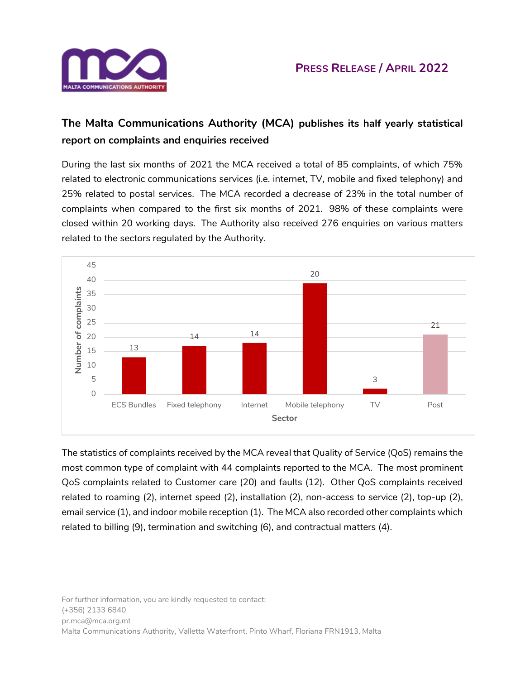

## **The Malta Communications Authority (MCA) publishes its half yearly statistical report on complaints and enquiries received**

During the last six months of 2021 the MCA received a total of 85 complaints, of which 75% related to electronic communications services (i.e. internet, TV, mobile and fixed telephony) and 25% related to postal services. The MCA recorded a decrease of 23% in the total number of complaints when compared to the first six months of 2021. 98% of these complaints were closed within 20 working days. The Authority also received 276 enquiries on various matters related to the sectors regulated by the Authority.



The statistics of complaints received by the MCA reveal that Quality of Service (QoS) remains the most common type of complaint with 44 complaints reported to the MCA. The most prominent QoS complaints related to Customer care (20) and faults (12). Other QoS complaints received related to roaming (2), internet speed (2), installation (2), non-access to service (2), top-up (2), email service (1), and indoor mobile reception (1). The MCA also recorded other complaints which related to billing (9), termination and switching (6), and contractual matters (4).

For further information, you are kindly requested to contact: (+356) 2133 6840 pr.mca@mca.org.mt Malta Communications Authority, Valletta Waterfront, Pinto Wharf, Floriana FRN1913, Malta